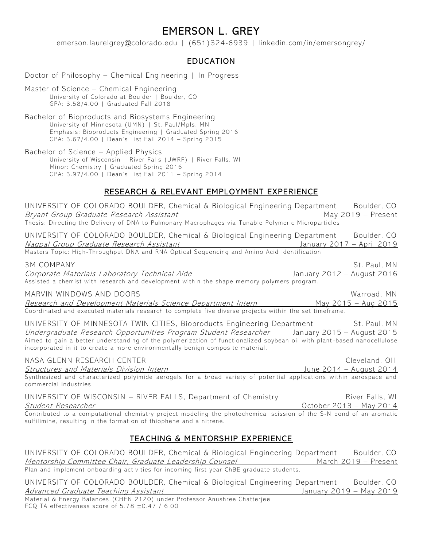# EMERSON L. GREY

emerson.laurelgrey@colorado.edu | (651)324-6939 | linkedin.com/in/emersongrey/

# EDUCATION

Doctor of Philosophy – Chemical Engineering | In Progress

Master of Science – Chemical Engineering University of Colorado at Boulder | Boulder, CO GPA: 3.58/4.00 | Graduated Fall 2018

Bachelor of Bioproducts and Biosystems Engineering University of Minnesota (UMN) | St. Paul/Mpls, MN Emphasis: Bioproducts Engineering | Graduated Spring 2016 GPA: 3.67/4.00 | Dean's List Fall 2014 – Spring 2015

Bachelor of Science – Applied Physics University of Wisconsin – River Falls (UWRF) | River Falls, WI Minor: Chemistry | Graduated Spring 2016 GPA: 3.97/4.00 | Dean's List Fall 2011 – Spring 2014

## RESEARCH & RELEVANT EMPLOYMENT EXPERIENCE

| UNIVERSITY OF COLORADO BOULDER, Chemical & Biological Engineering Department<br><b>Bryant Group Graduate Research Assistant</b>                                                                                                                                                                                                                                                                         | Boulder, CO<br>May 2019 - Present                |
|---------------------------------------------------------------------------------------------------------------------------------------------------------------------------------------------------------------------------------------------------------------------------------------------------------------------------------------------------------------------------------------------------------|--------------------------------------------------|
| <u>Bryant Group Graduate Research Assistant</u><br>Thesis: Directing the Delivery of DNA to Pulmonary Macrophages via Tunable Polymeric Microparticles                                                                                                                                                                                                                                                  |                                                  |
| UNIVERSITY OF COLORADO BOULDER, Chemical & Biological Engineering Department<br>Nagpal Group Graduate Research Assistant<br>Januar (1991) <i>Group Graduate Research Assistant</i><br>Masters Topic: High-Throughput DNA and RNA Optical Sequencing and Amino Acid Identification                                                                                                                       | Boulder, CO<br>January 2017 - April 2019         |
| <b>3M COMPANY</b><br>Corporate Materials Laboratory Technical Aide Materian Manuary 2012 - August 2016<br>Assisted a chemist with research and development within the shape memory polymers program.                                                                                                                                                                                                    | St. Paul, MN                                     |
| MARVIN WINDOWS AND DOORS<br>Research and Development Materials Science Department Intern May 2015 - Aug 2015<br>Coordinated and executed materials research to complete five diverse projects within the set timeframe.                                                                                                                                                                                 | Warroad, MN                                      |
| UNIVERSITY OF MINNESOTA TWIN CITIES, Bioproducts Engineering Department St. Paul, MN<br><u> Undergraduate Research Opportunities Program Student Researcher</u> January 2015 - August 2015<br>Aimed to gain a better understanding of the polymerization of functionalized soybean oil with plant-based nanocellulose<br>incorporated in it to create a more environmentally benign composite material. |                                                  |
| NASA GLENN RESEARCH CENTER<br><b>Structures and Materials Division Intern</b><br>Synthesized and characterized polyimide aerogels for a broad variety of potential applications within aerospace and<br>commercial industries.                                                                                                                                                                          | Cleveland, OH<br><u> June 2014 – August 2014</u> |
| UNIVERSITY OF WISCONSIN - RIVER FALLS, Department of Chemistry<br>Student Researcher<br>Contributed to a computational chemistry project modeling the photochemical scission of the S-N bond of an aromatic<br>sulfilimine, resulting in the formation of thiophene and a nitrene.                                                                                                                      | River Falls, WI<br>October 2013 - May 2014       |

### TEACHING & MENTORSHIP EXPERIENCE

UNIVERSITY OF COLORADO BOULDER, Chemical & Biological Engineering Department Boulder, CO Mentorship Committee Chair, Graduate Leadership Counsel March 2019 – Present Plan and implement on boarding activities for incoming first year ChBE graduate students.

UNIVERSITY OF COLORADO BOULDER, Chemical & Biological Engineering Department Boulder, CO Advanced Graduate Teaching Assistant The Contract Contract Contract Manuary 2019 – May 2019

Material & Energy Balances (CHEN 2120) under Professor Anushree Chatterjee FCQ TA effectiveness score of  $5.78 \pm 0.47$  / 6.00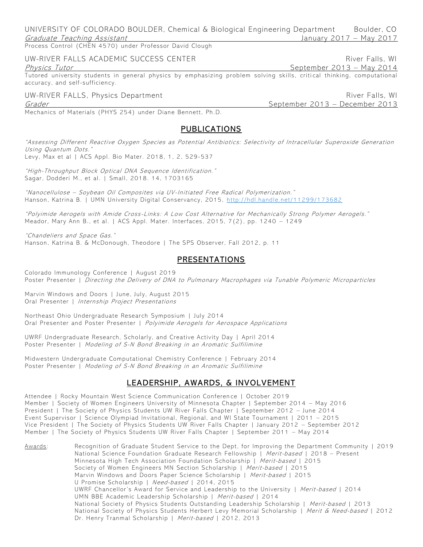UNIVERSITY OF COLORADO BOULDER, Chemical & Biological Engineering Department Boulder, CO Graduate Teaching Assistant January 2017 – May 2017

Process Control (CHEN 4570) under Professor David Clough

### UW-RIVER FALLS ACADEMIC SUCCESS CENTER THE RIVER RIVER RIVER RIVER FAILS WILL

#### Physics Tutor **September 2013** – May 2014

Tutored university students in general physics by emphasizing problem solving skills, critical thinking, computational accuracy, and self-sufficiency.

### UW-RIVER FALLS, Physics Department And Allen and Allen and Allen River Falls, WI

Grader September 2013 – December 2013

Mechanics of Materials (PHYS 254) under Diane Bennett, Ph.D.

### PUBLICATIONS

"Assessing Different Reactive Oxygen Species as Potential Antibiotics: Selectivity of Intracellular Superoxide Generation Using Quantum Dots." Levy, Max et al | ACS Appl. Bio Mater. 2018, 1, 2, 529 -537

"High-Throughput Block Optical DNA Sequence Identification." Sagar, Dodderi M., et al. | Small, 2018. 14, 1703165

"Nanocellulose – Soybean Oil Composites via UV -Initiated Free Radical Polymerization." Hanson, Katrina B. | UMN University Digital Conservancy, 2015, http://hdl.hand[le.net/11299/173682](http://hdl.handle.net/11299/173682)

"Polyimide Aerogels with Amide Cross -Links: A Low Cost Alternative for Mechanically Strong Polymer Aerogels." Meador, Mary Ann B., et al. | ACS Appl. Mater. Interfaces, 2015, 7(2), pp. 1240 – 1249

"Chandeliers and Space Gas." Hanson, Katrina B. & McDonough, Theodore | The SPS Observer, Fall 2012, p. 11

### PRESENTATIONS

Colorado Immunology Conference | August 2019 Poster Presenter | Directing the Delivery of DNA to Pulmonary Macrophages via Tunable Polymeric Microparticles

Marvin Windows and Doors | June, July, August 2015 Oral Presenter | Internship Project Presentations

Northeast Ohio Undergraduate Research Symposium | July 2014 Oral Presenter and Poster Presenter | Polyimide Aerogels for Aerospace Applications

UWRF Undergraduate Research, Scholarly, and Creative Activity Day | April 2014 Poster Presenter | Modeling of S-N Bond Breaking in an Aromatic Sulfilimine

Midwestern Undergraduate Computational Chemistry Conference | February 2014 Poster Presenter | Modeling of S-N Bond Breaking in an Aromatic Sulfilimine

### LEADERSHIP, AWARDS, & INVOLVEMENT

Attendee | Rocky Mountain West Science Communication Conferen ce | October 2019 Member | Society of Women Engineers University of Minnesota Chapter | September 2014 – May 2016 President | The Society of Physics Students UW River Falls Chapter | September 2012 – June 2014 Event Supervisor | Science Olympiad Invitational, Regional, and WI State Tournament | 2011 – 2015 Vice President | The Society of Physics Students UW River Falls Chapter | January 2012 – September 2012 Member | The Society of Physics Students UW River Falls Chapter | September 2011 – May 2014

Awards: Recognition of Graduate Student Service to the Dept, for Improving the Department Community | 2019 National Science Foundation Graduate Research Fellowship | Merit-based | 2018 – Present Minnesota High Tech Association Foundation Scholarship | Merit-based | 2015 Society of Women Engineers MN Section Scholarship | Merit-based | 2015 Marvin Windows and Doors Paper Science Scholarship | Merit-based | 2015 U Promise Scholarship | Need-based | 2014, 2015 UWRF Chancellor's Award for Service and Leadership to the University | Merit-based | 2014 UMN BBE Academic Leadership Scholarship | Merit-based | 2014 National Society of Physics Students Outstanding Leadership Scholarship | Merit-based | 2013 National Society of Physics Students Herbert Levy Memorial Scholarship | Merit & Need-based | 2012 Dr. Henry Tranmal Scholarship | Merit-based | 2012, 2013